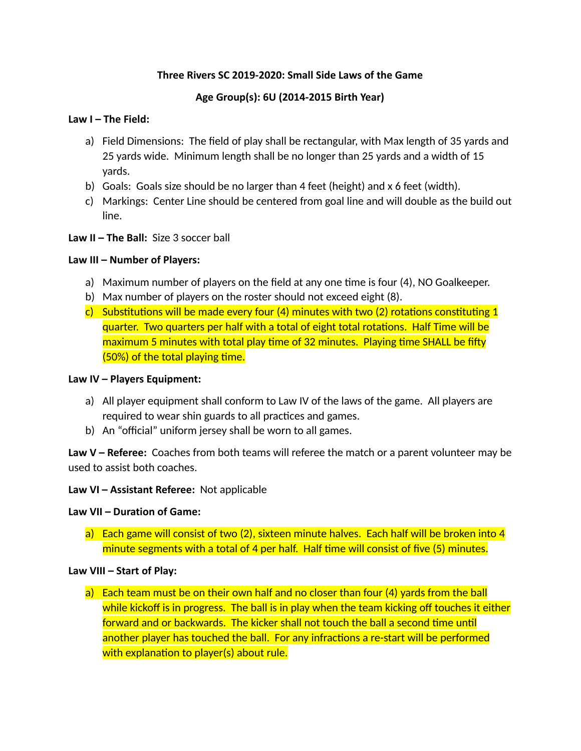### **Three Rivers SC 2019-2020: Small Side Laws of the Game**

### **Age Group(s): 6U (2014-2015 Birth Year)**

### **Law I – The Field:**

- a) Field Dimensions: The field of play shall be rectangular, with Max length of 35 yards and 25 yards wide. Minimum length shall be no longer than 25 yards and a width of 15 yards.
- b) Goals: Goals size should be no larger than 4 feet (height) and x 6 feet (width).
- c) Markings: Center Line should be centered from goal line and will double as the build out line.

### **Law II – The Ball:** Size 3 soccer ball

### **Law III – Number of Players:**

- a) Maximum number of players on the field at any one time is four  $(4)$ , NO Goalkeeper.
- b) Max number of players on the roster should not exceed eight (8).
- c) Substitutions will be made every four  $(4)$  minutes with two  $(2)$  rotations constituting 1 quarter. Two quarters per half with a total of eight total rotations. Half Time will be maximum 5 minutes with total play time of 32 minutes. Playing time SHALL be fifty  $(50%)$  of the total playing time.

#### **Law IV – Players Equipment:**

- a) All player equipment shall conform to Law IV of the laws of the game. All players are required to wear shin guards to all practices and games.
- b) An "official" uniform jersey shall be worn to all games.

**Law V – Referee:** Coaches from both teams will referee the match or a parent volunteer may be used to assist both coaches.

#### **Law VI – Assistant Referee:** Not applicable

#### **Law VII – Duration of Game:**

a) Each game will consist of two (2), sixteen minute halves. Each half will be broken into 4 minute segments with a total of 4 per half. Half time will consist of five (5) minutes.

#### **Law VIII – Start of Play:**

a) Each team must be on their own half and no closer than four (4) yards from the ball while kickoff is in progress. The ball is in play when the team kicking off touches it either forward and or backwards. The kicker shall not touch the ball a second time until another player has touched the ball. For any infractions a re-start will be performed with explanation to player(s) about rule.